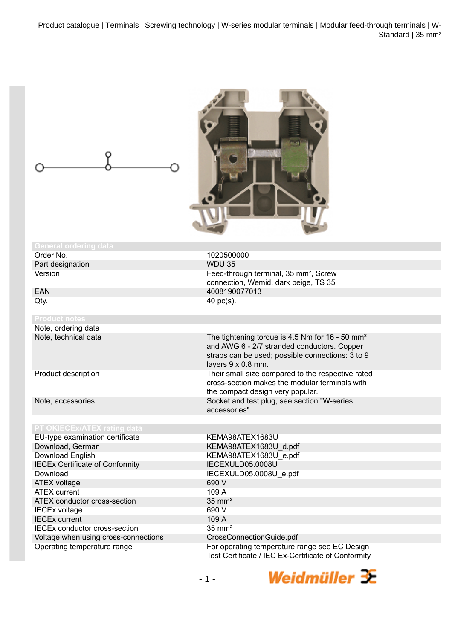

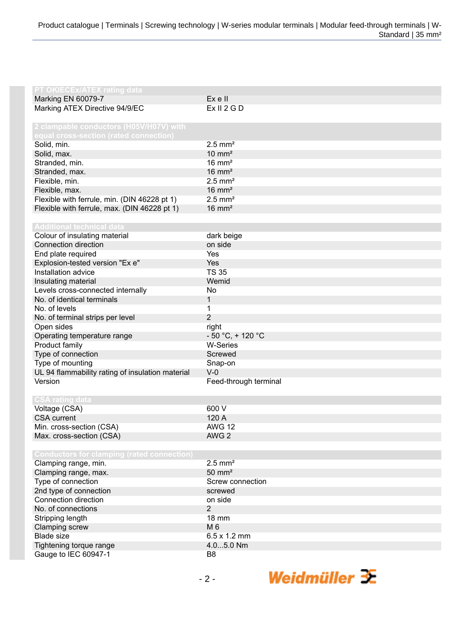| <b>PT OKIECEX/ATEX rating data</b>                |                       |
|---------------------------------------------------|-----------------------|
| Marking EN 60079-7                                | Ex e II               |
| Marking ATEX Directive 94/9/EC                    | Ex II 2 G D           |
|                                                   |                       |
| 2 clampable conductors (H05V/H07V) with           |                       |
| equal cross-section (rated connection)            |                       |
| Solid, min.                                       | $2.5$ mm <sup>2</sup> |
| Solid, max.                                       | $10 \text{ mm}^2$     |
| Stranded, min.                                    | $16 \text{ mm}^2$     |
| Stranded, max.                                    | $16 \text{ mm}^2$     |
| Flexible, min.                                    | $2.5$ mm <sup>2</sup> |
| Flexible, max.                                    | $16 \text{ mm}^2$     |
| Flexible with ferrule, min. (DIN 46228 pt 1)      | $2.5$ mm <sup>2</sup> |
| Flexible with ferrule, max. (DIN 46228 pt 1)      | $16 \text{ mm}^2$     |
|                                                   |                       |
| <b>Additional technical data</b>                  |                       |
| Colour of insulating material                     | dark beige            |
| Connection direction                              | on side               |
| End plate required                                | Yes                   |
| Explosion-tested version "Ex e"                   | Yes                   |
| Installation advice                               | <b>TS 35</b>          |
| Insulating material                               | Wemid                 |
| Levels cross-connected internally                 | No                    |
| No. of identical terminals                        | 1                     |
| No. of levels                                     | 1                     |
| No. of terminal strips per level                  | $\overline{2}$        |
| Open sides                                        | right                 |
| Operating temperature range                       | $-50 °C$ , + 120 °C   |
| Product family                                    | <b>W-Series</b>       |
| Type of connection                                | Screwed               |
| Type of mounting                                  | Snap-on               |
| UL 94 flammability rating of insulation material  | $V-0$                 |
| Version                                           | Feed-through terminal |
|                                                   |                       |
|                                                   |                       |
| <b>CSA rating data</b>                            | 600 V                 |
| Voltage (CSA)<br><b>CSA</b> current               |                       |
|                                                   | 120 A                 |
| Min. cross-section (CSA)                          | AWG 12                |
| Max. cross-section (CSA)                          | AWG <sub>2</sub>      |
|                                                   |                       |
| <b>Conductors for clamping (rated connection)</b> |                       |
| Clamping range, min.                              | $2.5$ mm <sup>2</sup> |
| Clamping range, max.                              | $50 \text{ mm}^2$     |
| Type of connection                                | Screw connection      |
| 2nd type of connection                            | screwed               |
| Connection direction                              | on side               |
| No. of connections                                | $\overline{2}$        |
| Stripping length                                  | <b>18 mm</b>          |
| Clamping screw                                    | M 6                   |
| <b>Blade size</b>                                 | $6.5 \times 1.2$ mm   |
| Tightening torque range                           | 4.05.0 Nm             |
| Gauge to IEC 60947-1                              | B <sub>8</sub>        |

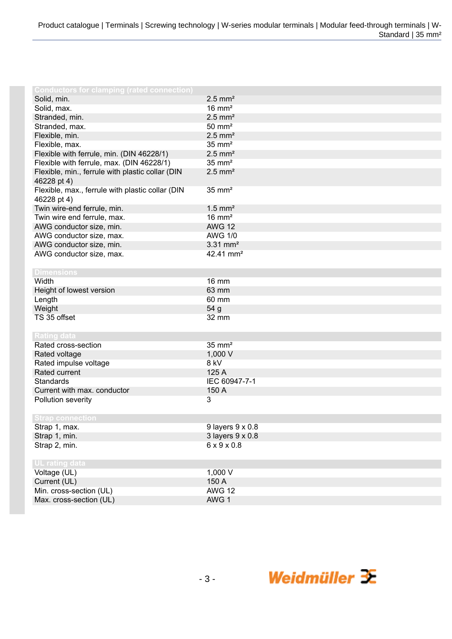| <b>Conductors for clamping (rated connection)</b>               |                         |
|-----------------------------------------------------------------|-------------------------|
| Solid, min.                                                     | $2.5$ mm <sup>2</sup>   |
| Solid, max.                                                     | $16 \text{ mm}^2$       |
| Stranded, min.                                                  | $2.5$ mm <sup>2</sup>   |
| Stranded, max.                                                  | $50 \text{ mm}^2$       |
| Flexible, min.                                                  | $2.5$ mm <sup>2</sup>   |
| Flexible, max.                                                  | $35 \text{ mm}^2$       |
| Flexible with ferrule, min. (DIN 46228/1)                       | $2.5$ mm <sup>2</sup>   |
| Flexible with ferrule, max. (DIN 46228/1)                       | $35 \text{ mm}^2$       |
| Flexible, min., ferrule with plastic collar (DIN<br>46228 pt 4) | $2.5$ mm <sup>2</sup>   |
| Flexible, max., ferrule with plastic collar (DIN<br>46228 pt 4) | $35 \text{ mm}^2$       |
|                                                                 |                         |
| Twin wire-end ferrule, min.                                     | $1.5$ mm <sup>2</sup>   |
| Twin wire end ferrule, max.                                     | $16 \text{ mm}^2$       |
| AWG conductor size, min.                                        | <b>AWG 12</b>           |
| AWG conductor size, max.                                        | <b>AWG 1/0</b>          |
| AWG conductor size, min.                                        | $3.31$ mm <sup>2</sup>  |
| AWG conductor size, max.                                        | 42.41 mm <sup>2</sup>   |
| <b>Dimensions</b>                                               |                         |
| Width                                                           | <b>16 mm</b>            |
| Height of lowest version                                        | 63 mm                   |
| Length                                                          | 60 mm                   |
| Weight                                                          | 54 g                    |
| TS 35 offset                                                    | 32 mm                   |
|                                                                 |                         |
| <b>Rating data</b>                                              |                         |
| Rated cross-section                                             | $35 \text{ mm}^2$       |
| Rated voltage                                                   | 1,000 V                 |
| Rated impulse voltage                                           | 8 kV                    |
| Rated current                                                   | 125 A                   |
| Standards                                                       | IEC 60947-7-1           |
| Current with max. conductor                                     | 150 A                   |
| Pollution severity                                              | 3                       |
| <b>Strap connection</b>                                         |                         |
| Strap 1, max.                                                   | 9 layers 9 x 0.8        |
| Strap 1, min.                                                   | 3 layers 9 x 0.8        |
| Strap 2, min.                                                   | $6 \times 9 \times 0.8$ |
|                                                                 |                         |
| UL rating data                                                  |                         |
| Voltage (UL)                                                    | 1,000 V                 |
| Current (UL)                                                    | 150 A                   |
| Min. cross-section (UL)                                         | <b>AWG 12</b>           |
| Max. cross-section (UL)                                         | AWG 1                   |

- 3 -